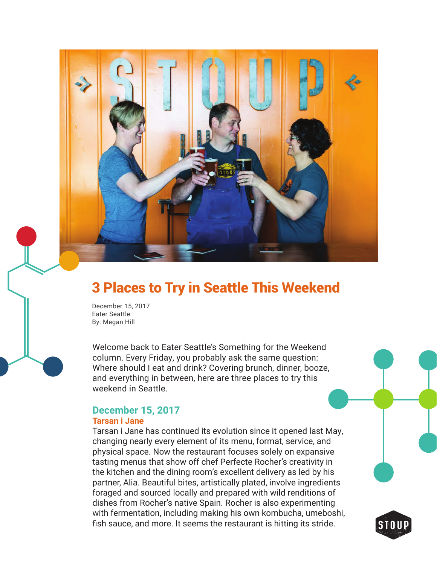

# 3 Places to Try in Seattle This Weekend

December 15, 2017 Eater Seattle By: Megan Hill

Welcome back to Eater Seattle's Something for the Weekend column. Every Friday, you probably ask the same question: Where should I eat and drink? Covering brunch, dinner, booze, and everything in between, here are three places to try this weekend in Seattle.

# **December 15, 2017**

#### **Tarsan i Jane**

Tarsan i Jane has continued its evolution since it opened last May, changing nearly every element of its menu, format, service, and physical space. Now the restaurant focuses solely on expansive tasting menus that show off chef Perfecte Rocher's creativity in the kitchen and the dining room's excellent delivery as led by his partner, Alia. Beautiful bites, artistically plated, involve ingredients foraged and sourced locally and prepared with wild renditions of dishes from Rocher's native Spain. Rocher is also experimenting with fermentation, including making his own kombucha, umeboshi, fish sauce, and more. It seems the restaurant is hitting its stride.

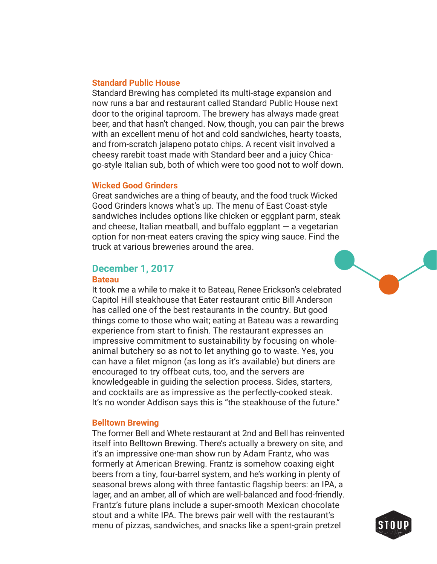#### **Standard Public House**

Standard Brewing has completed its multi-stage expansion and now runs a bar and restaurant called Standard Public House next door to the original taproom. The brewery has always made great beer, and that hasn't changed. Now, though, you can pair the brews with an excellent menu of hot and cold sandwiches, hearty toasts, and from-scratch jalapeno potato chips. A recent visit involved a cheesy rarebit toast made with Standard beer and a juicy Chicago-style Italian sub, both of which were too good not to wolf down.

#### **Wicked Good Grinders**

Great sandwiches are a thing of beauty, and the food truck Wicked Good Grinders knows what's up. The menu of East Coast-style sandwiches includes options like chicken or eggplant parm, steak and cheese, Italian meatball, and buffalo eggplant  $-$  a vegetarian option for non-meat eaters craving the spicy wing sauce. Find the truck at various breweries around the area.

# **December 1, 2017**

#### **Bateau**

It took me a while to make it to Bateau, Renee Erickson's celebrated Capitol Hill steakhouse that Eater restaurant critic Bill Anderson has called one of the best restaurants in the country. But good things come to those who wait; eating at Bateau was a rewarding experience from start to finish. The restaurant expresses an impressive commitment to sustainability by focusing on wholeanimal butchery so as not to let anything go to waste. Yes, you can have a filet mignon (as long as it's available) but diners are encouraged to try offbeat cuts, too, and the servers are knowledgeable in guiding the selection process. Sides, starters, and cocktails are as impressive as the perfectly-cooked steak. It's no wonder Addison says this is "the steakhouse of the future."

#### **Belltown Brewing**

The former Bell and Whete restaurant at 2nd and Bell has reinvented itself into Belltown Brewing. There's actually a brewery on site, and it's an impressive one-man show run by Adam Frantz, who was formerly at American Brewing. Frantz is somehow coaxing eight beers from a tiny, four-barrel system, and he's working in plenty of seasonal brews along with three fantastic flagship beers: an IPA, a lager, and an amber, all of which are well-balanced and food-friendly. Frantz's future plans include a super-smooth Mexican chocolate stout and a white IPA. The brews pair well with the restaurant's menu of pizzas, sandwiches, and snacks like a spent-grain pretzel

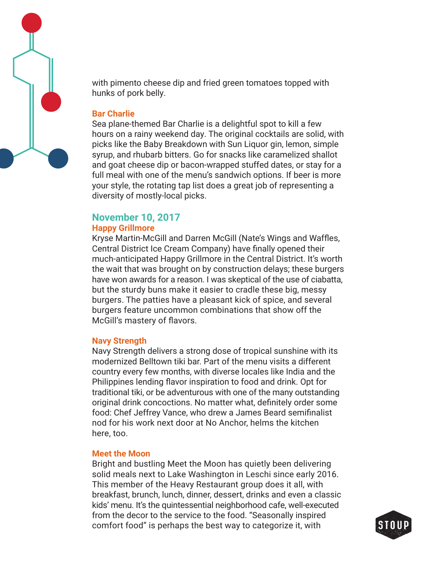

with pimento cheese dip and fried green tomatoes topped with hunks of pork belly.

### **Bar Charlie**

Sea plane-themed Bar Charlie is a delightful spot to kill a few hours on a rainy weekend day. The original cocktails are solid, with picks like the Baby Breakdown with Sun Liquor gin, lemon, simple syrup, and rhubarb bitters. Go for snacks like caramelized shallot and goat cheese dip or bacon-wrapped stuffed dates, or stay for a full meal with one of the menu's sandwich options. If beer is more your style, the rotating tap list does a great job of representing a diversity of mostly-local picks.

# **November 10, 2017**

# **Happy Grillmore**

Kryse Martin-McGill and Darren McGill (Nate's Wings and Waffles, Central District Ice Cream Company) have finally opened their much-anticipated Happy Grillmore in the Central District. It's worth the wait that was brought on by construction delays; these burgers have won awards for a reason. I was skeptical of the use of ciabatta, but the sturdy buns make it easier to cradle these big, messy burgers. The patties have a pleasant kick of spice, and several burgers feature uncommon combinations that show off the McGill's mastery of flavors.

#### **Navy Strength**

Navy Strength delivers a strong dose of tropical sunshine with its modernized Belltown tiki bar. Part of the menu visits a different country every few months, with diverse locales like India and the Philippines lending flavor inspiration to food and drink. Opt for traditional tiki, or be adventurous with one of the many outstanding original drink concoctions. No matter what, definitely order some food: Chef Jeffrey Vance, who drew a James Beard semifinalist nod for his work next door at No Anchor, helms the kitchen here, too.

#### **Meet the Moon**

Bright and bustling Meet the Moon has quietly been delivering solid meals next to Lake Washington in Leschi since early 2016. This member of the Heavy Restaurant group does it all, with breakfast, brunch, lunch, dinner, dessert, drinks and even a classic kids' menu. It's the quintessential neighborhood cafe, well-executed from the decor to the service to the food. "Seasonally inspired comfort food" is perhaps the best way to categorize it, with

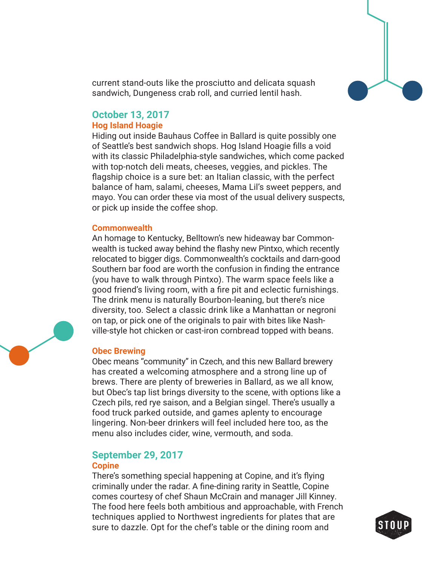

current stand-outs like the prosciutto and delicata squash sandwich, Dungeness crab roll, and curried lentil hash.

# **October 13, 2017**

#### **Hog Island Hoagie**

Hiding out inside Bauhaus Coffee in Ballard is quite possibly one of Seattle's best sandwich shops. Hog Island Hoagie fills a void with its classic Philadelphia-style sandwiches, which come packed with top-notch deli meats, cheeses, veggies, and pickles. The flagship choice is a sure bet: an Italian classic, with the perfect balance of ham, salami, cheeses, Mama Lil's sweet peppers, and mayo. You can order these via most of the usual delivery suspects, or pick up inside the coffee shop.

#### **Commonwealth**

An homage to Kentucky, Belltown's new hideaway bar Commonwealth is tucked away behind the flashy new Pintxo, which recently relocated to bigger digs. Commonwealth's cocktails and darn-good Southern bar food are worth the confusion in finding the entrance (you have to walk through Pintxo). The warm space feels like a good friend's living room, with a fire pit and eclectic furnishings. The drink menu is naturally Bourbon-leaning, but there's nice diversity, too. Select a classic drink like a Manhattan or negroni on tap, or pick one of the originals to pair with bites like Nashville-style hot chicken or cast-iron cornbread topped with beans.

# **Obec Brewing**

Obec means "community" in Czech, and this new Ballard brewery has created a welcoming atmosphere and a strong line up of brews. There are plenty of breweries in Ballard, as we all know, but Obec's tap list brings diversity to the scene, with options like a Czech pils, red rye saison, and a Belgian singel. There's usually a food truck parked outside, and games aplenty to encourage lingering. Non-beer drinkers will feel included here too, as the menu also includes cider, wine, vermouth, and soda.

# **September 29, 2017**

### **Copine**

There's something special happening at Copine, and it's flying criminally under the radar. A fine-dining rarity in Seattle, Copine comes courtesy of chef Shaun McCrain and manager Jill Kinney. The food here feels both ambitious and approachable, with French techniques applied to Northwest ingredients for plates that are sure to dazzle. Opt for the chef's table or the dining room and



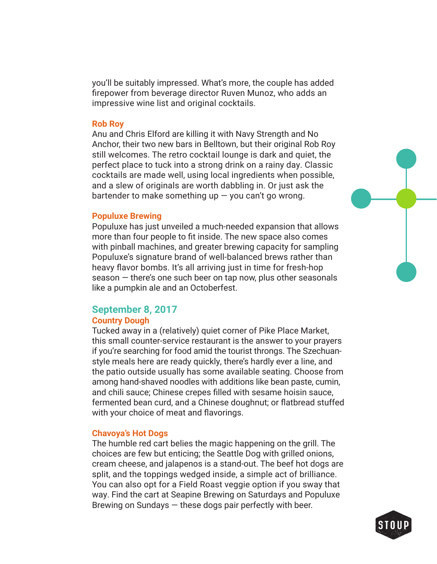you'll be suitably impressed. What's more, the couple has added firepower from beverage director Ruven Munoz, who adds an impressive wine list and original cocktails.

#### **Rob Roy**

Anu and Chris Elford are killing it with Navy Strength and No Anchor, their two new bars in Belltown, but their original Rob Roy still welcomes. The retro cocktail lounge is dark and quiet, the perfect place to tuck into a strong drink on a rainy day. Classic cocktails are made well, using local ingredients when possible, and a slew of originals are worth dabbling in. Or just ask the bartender to make something up  $-$  you can't go wrong.

#### **Populuxe Brewing**

Populuxe has just unveiled a much-needed expansion that allows more than four people to fit inside. The new space also comes with pinball machines, and greater brewing capacity for sampling Populuxe's signature brand of well-balanced brews rather than heavy flavor bombs. It's all arriving just in time for fresh-hop season — there's one such beer on tap now, plus other seasonals like a pumpkin ale and an Octoberfest.

# **September 8, 2017**

#### **Country Dough**

Tucked away in a (relatively) quiet corner of Pike Place Market, this small counter-service restaurant is the answer to your prayers if you're searching for food amid the tourist throngs. The Szechuanstyle meals here are ready quickly, there's hardly ever a line, and the patio outside usually has some available seating. Choose from among hand-shaved noodles with additions like bean paste, cumin, and chili sauce; Chinese crepes filled with sesame hoisin sauce, fermented bean curd, and a Chinese doughnut; or flatbread stuffed with your choice of meat and flavorings.

#### **Chavoya's Hot Dogs**

The humble red cart belies the magic happening on the grill. The choices are few but enticing; the Seattle Dog with grilled onions, cream cheese, and jalapenos is a stand-out. The beef hot dogs are split, and the toppings wedged inside, a simple act of brilliance. You can also opt for a Field Roast veggie option if you sway that way. Find the cart at Seapine Brewing on Saturdays and Populuxe Brewing on Sundays — these dogs pair perfectly with beer.

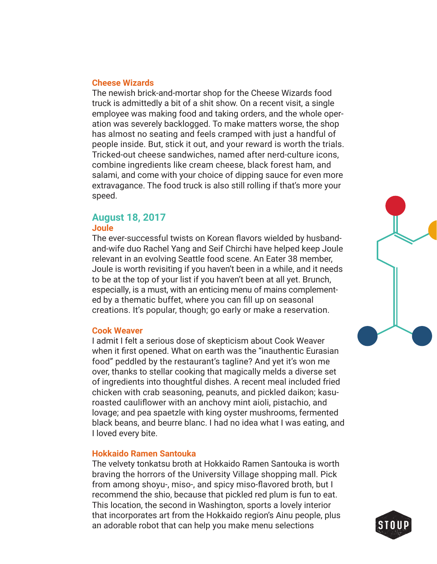#### **Cheese Wizards**

The newish brick-and-mortar shop for the Cheese Wizards food truck is admittedly a bit of a shit show. On a recent visit, a single employee was making food and taking orders, and the whole operation was severely backlogged. To make matters worse, the shop has almost no seating and feels cramped with just a handful of people inside. But, stick it out, and your reward is worth the trials. Tricked-out cheese sandwiches, named after nerd-culture icons, combine ingredients like cream cheese, black forest ham, and salami, and come with your choice of dipping sauce for even more extravagance. The food truck is also still rolling if that's more your speed.

# **August 18, 2017**

#### **Joule**

The ever-successful twists on Korean flavors wielded by husbandand-wife duo Rachel Yang and Seif Chirchi have helped keep Joule relevant in an evolving Seattle food scene. An Eater 38 member, Joule is worth revisiting if you haven't been in a while, and it needs to be at the top of your list if you haven't been at all yet. Brunch, especially, is a must, with an enticing menu of mains complemented by a thematic buffet, where you can fill up on seasonal creations. It's popular, though; go early or make a reservation.

# **Cook Weaver**

I admit I felt a serious dose of skepticism about Cook Weaver when it first opened. What on earth was the "inauthentic Eurasian food" peddled by the restaurant's tagline? And yet it's won me over, thanks to stellar cooking that magically melds a diverse set of ingredients into thoughtful dishes. A recent meal included fried chicken with crab seasoning, peanuts, and pickled daikon; kasuroasted cauliflower with an anchovy mint aioli, pistachio, and lovage; and pea spaetzle with king oyster mushrooms, fermented black beans, and beurre blanc. I had no idea what I was eating, and I loved every bite.

# **Hokkaido Ramen Santouka**

The velvety tonkatsu broth at Hokkaido Ramen Santouka is worth braving the horrors of the University Village shopping mall. Pick from among shoyu-, miso-, and spicy miso-flavored broth, but I recommend the shio, because that pickled red plum is fun to eat. This location, the second in Washington, sports a lovely interior that incorporates art from the Hokkaido region's Ainu people, plus an adorable robot that can help you make menu selections



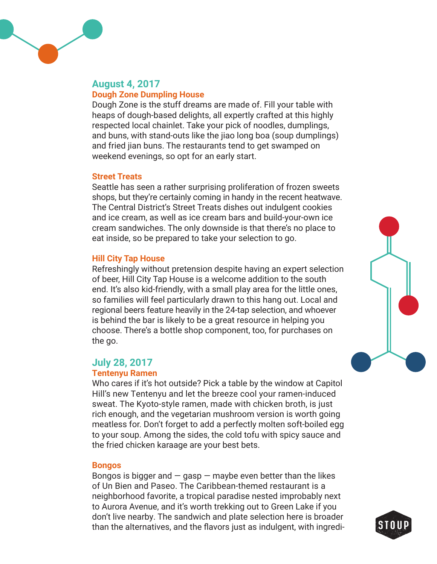

# **August 4, 2017 Dough Zone Dumpling House**

Dough Zone is the stuff dreams are made of. Fill your table with heaps of dough-based delights, all expertly crafted at this highly respected local chainlet. Take your pick of noodles, dumplings, and buns, with stand-outs like the jiao long boa (soup dumplings) and fried jian buns. The restaurants tend to get swamped on weekend evenings, so opt for an early start.

# **Street Treats**

Seattle has seen a rather surprising proliferation of frozen sweets shops, but they're certainly coming in handy in the recent heatwave. The Central District's Street Treats dishes out indulgent cookies and ice cream, as well as ice cream bars and build-your-own ice cream sandwiches. The only downside is that there's no place to eat inside, so be prepared to take your selection to go.

# **Hill City Tap House**

Refreshingly without pretension despite having an expert selection of beer, Hill City Tap House is a welcome addition to the south end. It's also kid-friendly, with a small play area for the little ones, so families will feel particularly drawn to this hang out. Local and regional beers feature heavily in the 24-tap selection, and whoever is behind the bar is likely to be a great resource in helping you choose. There's a bottle shop component, too, for purchases on the go.

# **July 28, 2017**

# **Tentenyu Ramen**

Who cares if it's hot outside? Pick a table by the window at Capitol Hill's new Tentenyu and let the breeze cool your ramen-induced sweat. The Kyoto-style ramen, made with chicken broth, is just rich enough, and the vegetarian mushroom version is worth going meatless for. Don't forget to add a perfectly molten soft-boiled egg to your soup. Among the sides, the cold tofu with spicy sauce and the fried chicken karaage are your best bets.

# **Bongos**

Bongos is bigger and  $-$  gasp  $-$  maybe even better than the likes of Un Bien and Paseo. The Caribbean-themed restaurant is a neighborhood favorite, a tropical paradise nested improbably next to Aurora Avenue, and it's worth trekking out to Green Lake if you don't live nearby. The sandwich and plate selection here is broader than the alternatives, and the flavors just as indulgent, with ingredi-



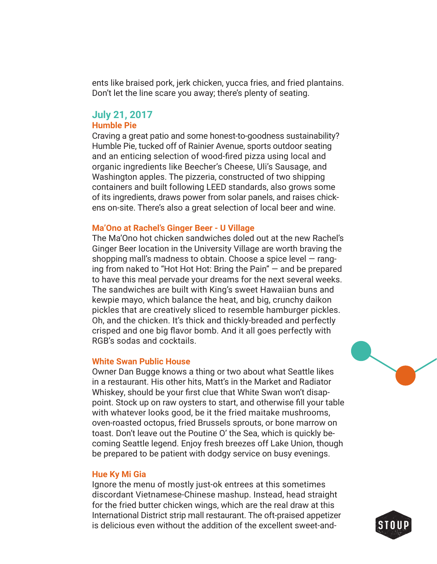ents like braised pork, jerk chicken, yucca fries, and fried plantains. Don't let the line scare you away; there's plenty of seating.

# **July 21, 2017**

# **Humble Pie**

Craving a great patio and some honest-to-goodness sustainability? Humble Pie, tucked off of Rainier Avenue, sports outdoor seating and an enticing selection of wood-fired pizza using local and organic ingredients like Beecher's Cheese, Uli's Sausage, and Washington apples. The pizzeria, constructed of two shipping containers and built following LEED standards, also grows some of its ingredients, draws power from solar panels, and raises chickens on-site. There's also a great selection of local beer and wine.

#### **Ma'Ono at Rachel's Ginger Beer - U Village**

The Ma'Ono hot chicken sandwiches doled out at the new Rachel's Ginger Beer location in the University Village are worth braving the shopping mall's madness to obtain. Choose a spice level — ranging from naked to "Hot Hot Hot: Bring the Pain" — and be prepared to have this meal pervade your dreams for the next several weeks. The sandwiches are built with King's sweet Hawaiian buns and kewpie mayo, which balance the heat, and big, crunchy daikon pickles that are creatively sliced to resemble hamburger pickles. Oh, and the chicken. It's thick and thickly-breaded and perfectly crisped and one big flavor bomb. And it all goes perfectly with RGB's sodas and cocktails.

#### **White Swan Public House**

Owner Dan Bugge knows a thing or two about what Seattle likes in a restaurant. His other hits, Matt's in the Market and Radiator Whiskey, should be your first clue that White Swan won't disappoint. Stock up on raw oysters to start, and otherwise fill your table with whatever looks good, be it the fried maitake mushrooms, oven-roasted octopus, fried Brussels sprouts, or bone marrow on toast. Don't leave out the Poutine O' the Sea, which is quickly becoming Seattle legend. Enjoy fresh breezes off Lake Union, though be prepared to be patient with dodgy service on busy evenings.

#### **Hue Ky Mi Gia**

Ignore the menu of mostly just-ok entrees at this sometimes discordant Vietnamese-Chinese mashup. Instead, head straight for the fried butter chicken wings, which are the real draw at this International District strip mall restaurant. The oft-praised appetizer is delicious even without the addition of the excellent sweet-and-

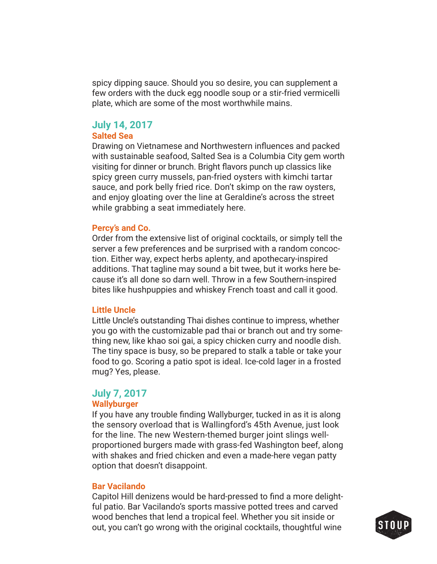spicy dipping sauce. Should you so desire, you can supplement a few orders with the duck egg noodle soup or a stir-fried vermicelli plate, which are some of the most worthwhile mains.

# **July 14, 2017**

# **Salted Sea**

Drawing on Vietnamese and Northwestern influences and packed with sustainable seafood, Salted Sea is a Columbia City gem worth visiting for dinner or brunch. Bright flavors punch up classics like spicy green curry mussels, pan-fried oysters with kimchi tartar sauce, and pork belly fried rice. Don't skimp on the raw oysters, and enjoy gloating over the line at Geraldine's across the street while grabbing a seat immediately here.

#### **Percy's and Co.**

Order from the extensive list of original cocktails, or simply tell the server a few preferences and be surprised with a random concoction. Either way, expect herbs aplenty, and apothecary-inspired additions. That tagline may sound a bit twee, but it works here because it's all done so darn well. Throw in a few Southern-inspired bites like hushpuppies and whiskey French toast and call it good.

#### **Little Uncle**

Little Uncle's outstanding Thai dishes continue to impress, whether you go with the customizable pad thai or branch out and try something new, like khao soi gai, a spicy chicken curry and noodle dish. The tiny space is busy, so be prepared to stalk a table or take your food to go. Scoring a patio spot is ideal. Ice-cold lager in a frosted mug? Yes, please.

# **July 7, 2017**

### **Wallyburger**

If you have any trouble finding Wallyburger, tucked in as it is along the sensory overload that is Wallingford's 45th Avenue, just look for the line. The new Western-themed burger joint slings wellproportioned burgers made with grass-fed Washington beef, along with shakes and fried chicken and even a made-here vegan patty option that doesn't disappoint.

### **Bar Vacilando**

Capitol Hill denizens would be hard-pressed to find a more delightful patio. Bar Vacilando's sports massive potted trees and carved wood benches that lend a tropical feel. Whether you sit inside or out, you can't go wrong with the original cocktails, thoughtful wine

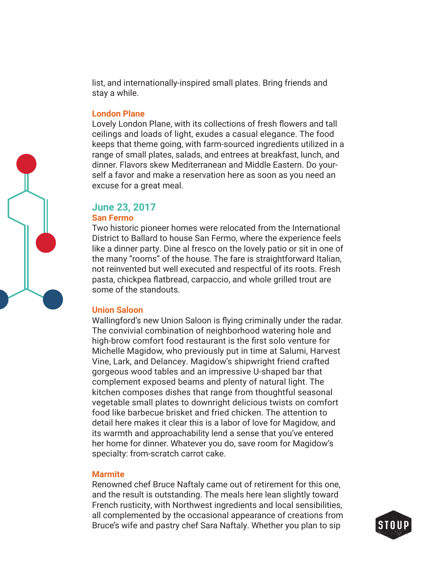list, and internationally-inspired small plates. Bring friends and stay a while.

#### **London Plane**

Lovely London Plane, with its collections of fresh flowers and tall ceilings and loads of light, exudes a casual elegance. The food keeps that theme going, with farm-sourced ingredients utilized in a range of small plates, salads, and entrees at breakfast, lunch, and dinner. Flavors skew Mediterranean and Middle Eastern. Do yourself a favor and make a reservation here as soon as you need an excuse for a great meal.

# **June 23, 2017**

#### **San Fermo**

Two historic pioneer homes were relocated from the International District to Ballard to house San Fermo, where the experience feels like a dinner party. Dine al fresco on the lovely patio or sit in one of the many "rooms" of the house. The fare is straightforward Italian, not reinvented but well executed and respectful of its roots. Fresh pasta, chickpea flatbread, carpaccio, and whole grilled trout are some of the standouts.

#### **Union Saloon**

Wallingford's new Union Saloon is flying criminally under the radar. The convivial combination of neighborhood watering hole and high-brow comfort food restaurant is the first solo venture for Michelle Magidow, who previously put in time at Salumi, Harvest Vine, Lark, and Delancey. Magidow's shipwright friend crafted gorgeous wood tables and an impressive U-shaped bar that complement exposed beams and plenty of natural light. The kitchen composes dishes that range from thoughtful seasonal vegetable small plates to downright delicious twists on comfort food like barbecue brisket and fried chicken. The attention to detail here makes it clear this is a labor of love for Magidow, and its warmth and approachability lend a sense that you've entered her home for dinner. Whatever you do, save room for Magidow's specialty: from-scratch carrot cake.

#### **Marmite**

Renowned chef Bruce Naftaly came out of retirement for this one, and the result is outstanding. The meals here lean slightly toward French rusticity, with Northwest ingredients and local sensibilities, all complemented by the occasional appearance of creations from Bruce's wife and pastry chef Sara Naftaly. Whether you plan to sip



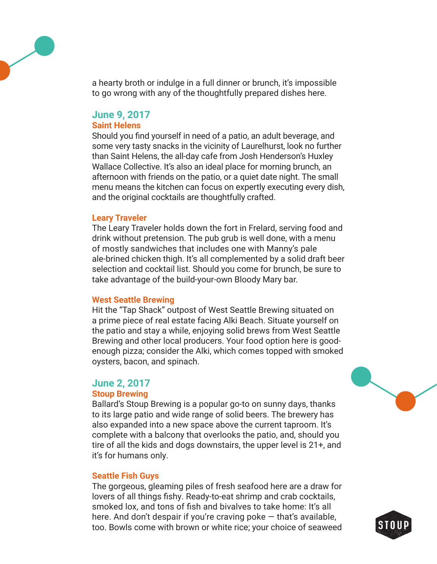

a hearty broth or indulge in a full dinner or brunch, it's impossible to go wrong with any of the thoughtfully prepared dishes here.

# **June 9, 2017**

# **Saint Helens**

Should you find yourself in need of a patio, an adult beverage, and some very tasty snacks in the vicinity of Laurelhurst, look no further than Saint Helens, the all-day cafe from Josh Henderson's Huxley Wallace Collective. It's also an ideal place for morning brunch, an afternoon with friends on the patio, or a quiet date night. The small menu means the kitchen can focus on expertly executing every dish, and the original cocktails are thoughtfully crafted.

#### **Leary Traveler**

The Leary Traveler holds down the fort in Frelard, serving food and drink without pretension. The pub grub is well done, with a menu of mostly sandwiches that includes one with Manny's pale ale-brined chicken thigh. It's all complemented by a solid draft beer selection and cocktail list. Should you come for brunch, be sure to take advantage of the build-your-own Bloody Mary bar.

# **West Seattle Brewing**

Hit the "Tap Shack" outpost of West Seattle Brewing situated on a prime piece of real estate facing Alki Beach. Situate yourself on the patio and stay a while, enjoying solid brews from West Seattle Brewing and other local producers. Your food option here is goodenough pizza; consider the Alki, which comes topped with smoked oysters, bacon, and spinach.

# **June 2, 2017**

# **Stoup Brewing**

Ballard's Stoup Brewing is a popular go-to on sunny days, thanks to its large patio and wide range of solid beers. The brewery has also expanded into a new space above the current taproom. It's complete with a balcony that overlooks the patio, and, should you tire of all the kids and dogs downstairs, the upper level is 21+, and it's for humans only.

# **Seattle Fish Guys**

The gorgeous, gleaming piles of fresh seafood here are a draw for lovers of all things fishy. Ready-to-eat shrimp and crab cocktails, smoked lox, and tons of fish and bivalves to take home: It's all here. And don't despair if you're craving poke — that's available, too. Bowls come with brown or white rice; your choice of seaweed